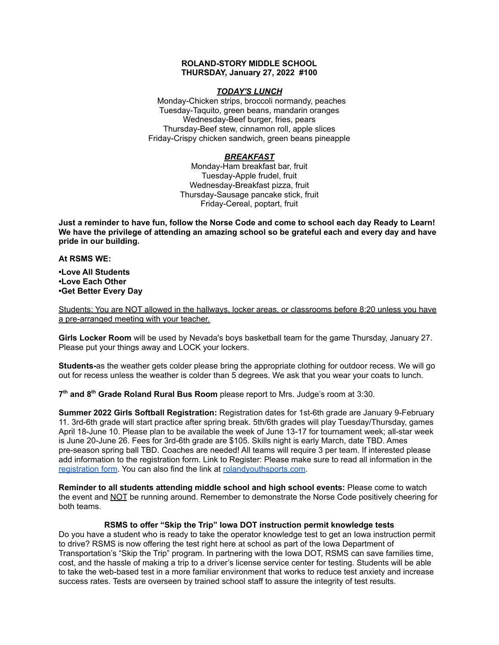### **ROLAND-STORY MIDDLE SCHOOL THURSDAY, January 27, 2022 #100**

### *TODAY'S LUNCH*

Monday-Chicken strips, broccoli normandy, peaches Tuesday-Taquito, green beans, mandarin oranges Wednesday-Beef burger, fries, pears Thursday-Beef stew, cinnamon roll, apple slices Friday-Crispy chicken sandwich, green beans pineapple

# *BREAKFAST*

Monday-Ham breakfast bar, fruit Tuesday-Apple frudel, fruit Wednesday-Breakfast pizza, fruit Thursday-Sausage pancake stick, fruit Friday-Cereal, poptart, fruit

Just a reminder to have fun, follow the Norse Code and come to school each day Ready to Learn! **We have the privilege of attending an amazing school so be grateful each and every day and have pride in our building.**

#### **At RSMS WE:**

**•Love All Students •Love Each Other •Get Better Every Day**

Students: You are NOT allowed in the hallways, locker areas, or classrooms before 8:20 unless you have a pre-arranged meeting with your teacher.

**Girls Locker Room** will be used by Nevada's boys basketball team for the game Thursday, January 27. Please put your things away and LOCK your lockers.

**Students-**as the weather gets colder please bring the appropriate clothing for outdoor recess. We will go out for recess unless the weather is colder than 5 degrees. We ask that you wear your coats to lunch.

**7 th and 8 th Grade Roland Rural Bus Room** please report to Mrs. Judge's room at 3:30.

**Summer 2022 Girls Softball Registration:** Registration dates for 1st-6th grade are January 9-February 11. 3rd-6th grade will start practice after spring break. 5th/6th grades will play Tuesday/Thursday, games April 18-June 10. Please plan to be available the week of June 13-17 for tournament week; all-star week is June 20-June 26. Fees for 3rd-6th grade are \$105. Skills night is early March, date TBD. Ames pre-season spring ball TBD. Coaches are needed! All teams will require 3 per team. If interested please add information to the registration form. Link to Register: Please make sure to read all information in th[e](https://rolandyouthsports.com/summer-2022-softball-registration-form/) [registration](https://rolandyouthsports.com/summer-2022-softball-registration-form/) form. You can also find the link at [rolandyouthsports.com](http://rolandyouthsports.com/).

**Reminder to all students attending middle school and high school events:** Please come to watch the event and NOT be running around. Remember to demonstrate the Norse Code positively cheering for both teams.

# **RSMS to offer "Skip the Trip" Iowa DOT instruction permit knowledge tests**

Do you have a student who is ready to take the operator knowledge test to get an Iowa instruction permit to drive? RSMS is now offering the test right here at school as part of the Iowa Department of Transportation's "Skip the Trip" program. In partnering with the Iowa DOT, RSMS can save families time, cost, and the hassle of making a trip to a driver's license service center for testing. Students will be able to take the web-based test in a more familiar environment that works to reduce test anxiety and increase success rates. Tests are overseen by trained school staff to assure the integrity of test results.